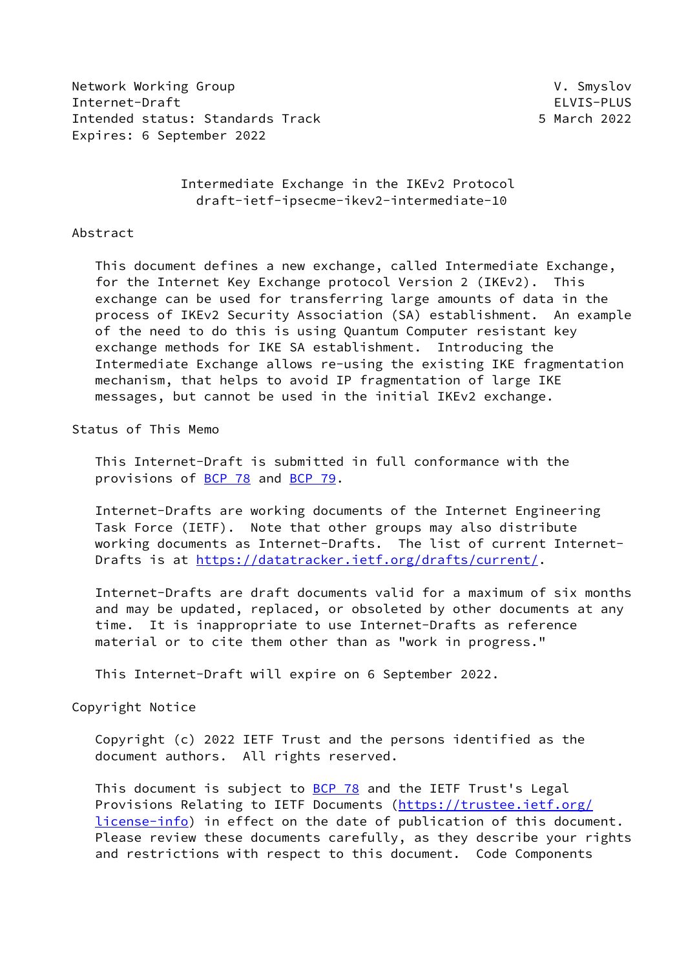Network Working Group **V. Smyslov** V. Smyslov Internet-Draft ELVIS-PLUS Intended status: Standards Track 5 March 2022 Expires: 6 September 2022

 Intermediate Exchange in the IKEv2 Protocol draft-ietf-ipsecme-ikev2-intermediate-10

#### Abstract

 This document defines a new exchange, called Intermediate Exchange, for the Internet Key Exchange protocol Version 2 (IKEv2). This exchange can be used for transferring large amounts of data in the process of IKEv2 Security Association (SA) establishment. An example of the need to do this is using Quantum Computer resistant key exchange methods for IKE SA establishment. Introducing the Intermediate Exchange allows re-using the existing IKE fragmentation mechanism, that helps to avoid IP fragmentation of large IKE messages, but cannot be used in the initial IKEv2 exchange.

## Status of This Memo

 This Internet-Draft is submitted in full conformance with the provisions of [BCP 78](https://datatracker.ietf.org/doc/pdf/bcp78) and [BCP 79](https://datatracker.ietf.org/doc/pdf/bcp79).

 Internet-Drafts are working documents of the Internet Engineering Task Force (IETF). Note that other groups may also distribute working documents as Internet-Drafts. The list of current Internet- Drafts is at<https://datatracker.ietf.org/drafts/current/>.

 Internet-Drafts are draft documents valid for a maximum of six months and may be updated, replaced, or obsoleted by other documents at any time. It is inappropriate to use Internet-Drafts as reference material or to cite them other than as "work in progress."

This Internet-Draft will expire on 6 September 2022.

#### Copyright Notice

 Copyright (c) 2022 IETF Trust and the persons identified as the document authors. All rights reserved.

This document is subject to **[BCP 78](https://datatracker.ietf.org/doc/pdf/bcp78)** and the IETF Trust's Legal Provisions Relating to IETF Documents ([https://trustee.ietf.org/](https://trustee.ietf.org/license-info) [license-info](https://trustee.ietf.org/license-info)) in effect on the date of publication of this document. Please review these documents carefully, as they describe your rights and restrictions with respect to this document. Code Components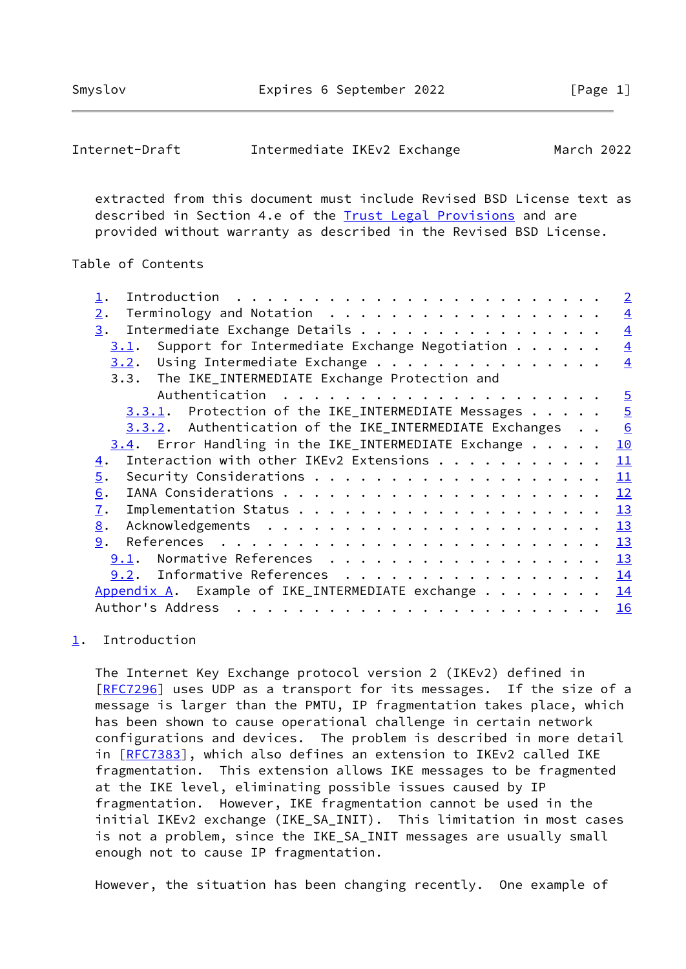<span id="page-1-1"></span>

| Internet-Draft | Intermediate IKEv2 Exchange |  | March 2022 |
|----------------|-----------------------------|--|------------|
|----------------|-----------------------------|--|------------|

 extracted from this document must include Revised BSD License text as described in Section 4.e of the [Trust Legal Provisions](https://trustee.ietf.org/license-info) and are provided without warranty as described in the Revised BSD License.

### Table of Contents

|                                                             | $\overline{2}$ |
|-------------------------------------------------------------|----------------|
| Terminology and Notation<br>$\overline{2}$ .                | $\overline{4}$ |
| Intermediate Exchange Details<br>3.                         | $\overline{4}$ |
| Support for Intermediate Exchange Negotiation<br>3.1.       | $\overline{4}$ |
| $3.2$ . Using Intermediate Exchange                         | $\overline{4}$ |
| 3.3. The IKE_INTERMEDIATE Exchange Protection and           |                |
|                                                             | $\overline{5}$ |
| $3.3.1$ . Protection of the IKE_INTERMEDIATE Messages       | $\overline{5}$ |
| 3.3.2. Authentication of the IKE_INTERMEDIATE Exchanges     | 6              |
| $3.4$ . Error Handling in the IKE_INTERMEDIATE Exchange     | 10             |
| Interaction with other IKEv2 Extensions<br>$\overline{4}$ . | 11             |
| 5.                                                          | 11             |
| 6.                                                          | 12             |
| $\overline{1}$ .                                            | 13             |
| 8.                                                          | 13             |
| 9.                                                          | 13             |
| Normative References<br>9.1.                                | 13             |
| 9.2. Informative References                                 | 14             |
| Appendix A. Example of IKE_INTERMEDIATE exchange            | 14             |
| Author's Address                                            | 16             |

# <span id="page-1-0"></span>[1](#page-1-0). Introduction

 The Internet Key Exchange protocol version 2 (IKEv2) defined in [\[RFC7296](https://datatracker.ietf.org/doc/pdf/rfc7296)] uses UDP as a transport for its messages. If the size of a message is larger than the PMTU, IP fragmentation takes place, which has been shown to cause operational challenge in certain network configurations and devices. The problem is described in more detail in [[RFC7383\]](https://datatracker.ietf.org/doc/pdf/rfc7383), which also defines an extension to IKEv2 called IKE fragmentation. This extension allows IKE messages to be fragmented at the IKE level, eliminating possible issues caused by IP fragmentation. However, IKE fragmentation cannot be used in the initial IKEv2 exchange (IKE\_SA\_INIT). This limitation in most cases is not a problem, since the IKE\_SA\_INIT messages are usually small enough not to cause IP fragmentation.

However, the situation has been changing recently. One example of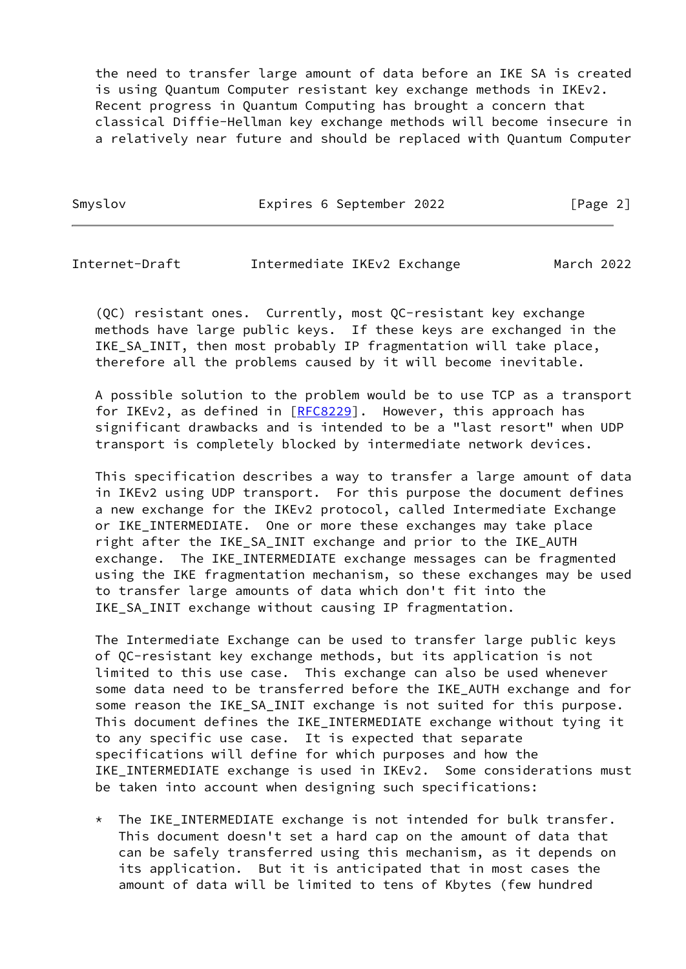the need to transfer large amount of data before an IKE SA is created is using Quantum Computer resistant key exchange methods in IKEv2. Recent progress in Quantum Computing has brought a concern that classical Diffie-Hellman key exchange methods will become insecure in a relatively near future and should be replaced with Quantum Computer

Smyslov **Expires 6 September 2022** [Page 2]

Internet-Draft Intermediate IKEv2 Exchange March 2022

 (QC) resistant ones. Currently, most QC-resistant key exchange methods have large public keys. If these keys are exchanged in the IKE\_SA\_INIT, then most probably IP fragmentation will take place, therefore all the problems caused by it will become inevitable.

 A possible solution to the problem would be to use TCP as a transport for IKEv2, as defined in [\[RFC8229](https://datatracker.ietf.org/doc/pdf/rfc8229)]. However, this approach has significant drawbacks and is intended to be a "last resort" when UDP transport is completely blocked by intermediate network devices.

 This specification describes a way to transfer a large amount of data in IKEv2 using UDP transport. For this purpose the document defines a new exchange for the IKEv2 protocol, called Intermediate Exchange or IKE\_INTERMEDIATE. One or more these exchanges may take place right after the IKE\_SA\_INIT exchange and prior to the IKE\_AUTH exchange. The IKE\_INTERMEDIATE exchange messages can be fragmented using the IKE fragmentation mechanism, so these exchanges may be used to transfer large amounts of data which don't fit into the IKE\_SA\_INIT exchange without causing IP fragmentation.

 The Intermediate Exchange can be used to transfer large public keys of QC-resistant key exchange methods, but its application is not limited to this use case. This exchange can also be used whenever some data need to be transferred before the IKE\_AUTH exchange and for some reason the IKE\_SA\_INIT exchange is not suited for this purpose. This document defines the IKE\_INTERMEDIATE exchange without tying it to any specific use case. It is expected that separate specifications will define for which purposes and how the IKE\_INTERMEDIATE exchange is used in IKEv2. Some considerations must be taken into account when designing such specifications:

 \* The IKE\_INTERMEDIATE exchange is not intended for bulk transfer. This document doesn't set a hard cap on the amount of data that can be safely transferred using this mechanism, as it depends on its application. But it is anticipated that in most cases the amount of data will be limited to tens of Kbytes (few hundred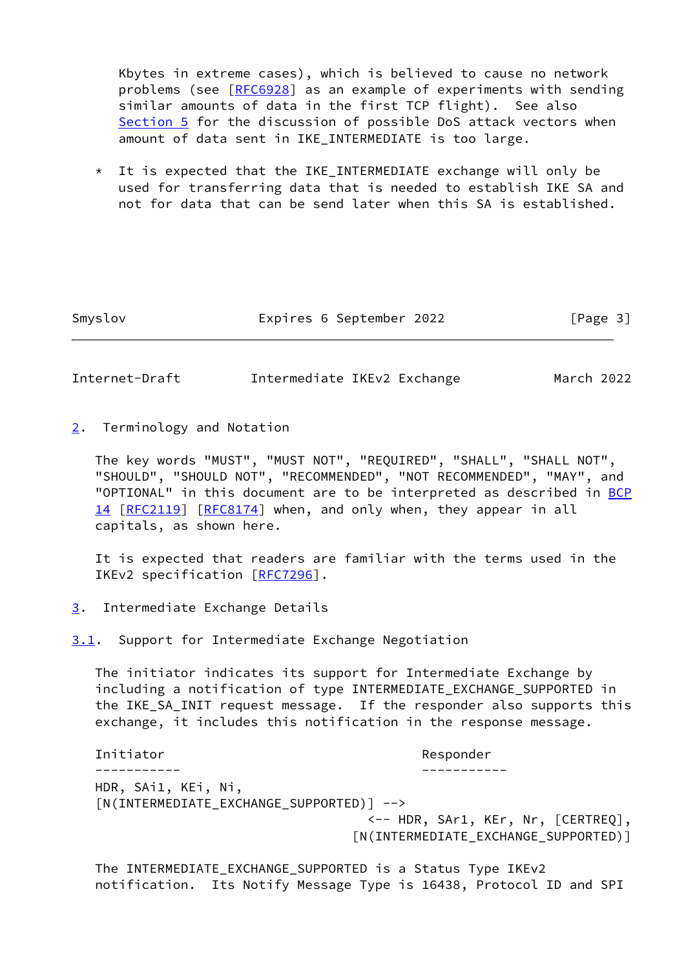Kbytes in extreme cases), which is believed to cause no network problems (see [\[RFC6928](https://datatracker.ietf.org/doc/pdf/rfc6928)] as an example of experiments with sending similar amounts of data in the first TCP flight). See also [Section 5](#page-11-2) for the discussion of possible DoS attack vectors when amount of data sent in IKE\_INTERMEDIATE is too large.

 $*$  It is expected that the IKE INTERMEDIATE exchange will only be used for transferring data that is needed to establish IKE SA and not for data that can be send later when this SA is established.

Smyslov Expires 6 September 2022 [Page 3]

<span id="page-3-1"></span>Internet-Draft Intermediate IKEv2 Exchange March 2022

<span id="page-3-0"></span>[2](#page-3-0). Terminology and Notation

 The key words "MUST", "MUST NOT", "REQUIRED", "SHALL", "SHALL NOT", "SHOULD", "SHOULD NOT", "RECOMMENDED", "NOT RECOMMENDED", "MAY", and "OPTIONAL" in this document are to be interpreted as described in [BCP](https://datatracker.ietf.org/doc/pdf/bcp14) [14](https://datatracker.ietf.org/doc/pdf/bcp14) [[RFC2119\]](https://datatracker.ietf.org/doc/pdf/rfc2119) [\[RFC8174](https://datatracker.ietf.org/doc/pdf/rfc8174)] when, and only when, they appear in all capitals, as shown here.

 It is expected that readers are familiar with the terms used in the IKEv2 specification [\[RFC7296](https://datatracker.ietf.org/doc/pdf/rfc7296)].

<span id="page-3-2"></span>[3](#page-3-2). Intermediate Exchange Details

<span id="page-3-3"></span>[3.1](#page-3-3). Support for Intermediate Exchange Negotiation

 The initiator indicates its support for Intermediate Exchange by including a notification of type INTERMEDIATE\_EXCHANGE\_SUPPORTED in the IKE\_SA\_INIT request message. If the responder also supports this exchange, it includes this notification in the response message.

Initiator **Responder** Responder ----------- ----------- HDR, SAi1, KEi, Ni, [N(INTERMEDIATE\_EXCHANGE\_SUPPORTED)] --> <-- HDR, SAr1, KEr, Nr, [CERTREQ], [N(INTERMEDIATE\_EXCHANGE\_SUPPORTED)]

 The INTERMEDIATE\_EXCHANGE\_SUPPORTED is a Status Type IKEv2 notification. Its Notify Message Type is 16438, Protocol ID and SPI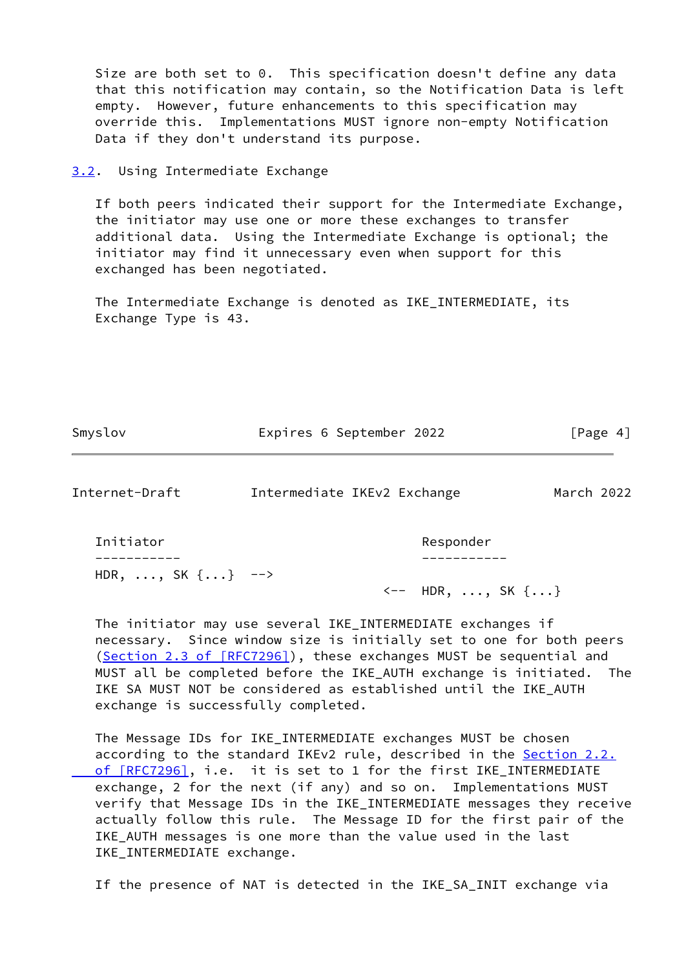Size are both set to 0. This specification doesn't define any data that this notification may contain, so the Notification Data is left empty. However, future enhancements to this specification may override this. Implementations MUST ignore non-empty Notification Data if they don't understand its purpose.

#### <span id="page-4-0"></span>[3.2](#page-4-0). Using Intermediate Exchange

 If both peers indicated their support for the Intermediate Exchange, the initiator may use one or more these exchanges to transfer additional data. Using the Intermediate Exchange is optional; the initiator may find it unnecessary even when support for this exchanged has been negotiated.

 The Intermediate Exchange is denoted as IKE\_INTERMEDIATE, its Exchange Type is 43.

Smyslov **Expires 6 September 2022** [Page 4]

<span id="page-4-1"></span>Internet-Draft Intermediate IKEv2 Exchange March 2022

Initiator **Responder** Responder ----------- ----------- HDR,  $\ldots$ , SK  $\{ \ldots \}$  -->

<-- HDR, ..., SK {...}

 The initiator may use several IKE\_INTERMEDIATE exchanges if necessary. Since window size is initially set to one for both peers (Section [2.3 of \[RFC7296\]](https://datatracker.ietf.org/doc/pdf/rfc7296#section-2.3)), these exchanges MUST be sequential and MUST all be completed before the IKE\_AUTH exchange is initiated. The IKE SA MUST NOT be considered as established until the IKE\_AUTH exchange is successfully completed.

 The Message IDs for IKE\_INTERMEDIATE exchanges MUST be chosen according to the standard IKEv2 rule, described in the **[Section](https://datatracker.ietf.org/doc/pdf/rfc7296#section-2.2) 2.2.** of [RFC7296], i.e. it is set to 1 for the first IKE\_INTERMEDIATE exchange, 2 for the next (if any) and so on. Implementations MUST verify that Message IDs in the IKE\_INTERMEDIATE messages they receive actually follow this rule. The Message ID for the first pair of the IKE\_AUTH messages is one more than the value used in the last IKE\_INTERMEDIATE exchange.

If the presence of NAT is detected in the IKE\_SA\_INIT exchange via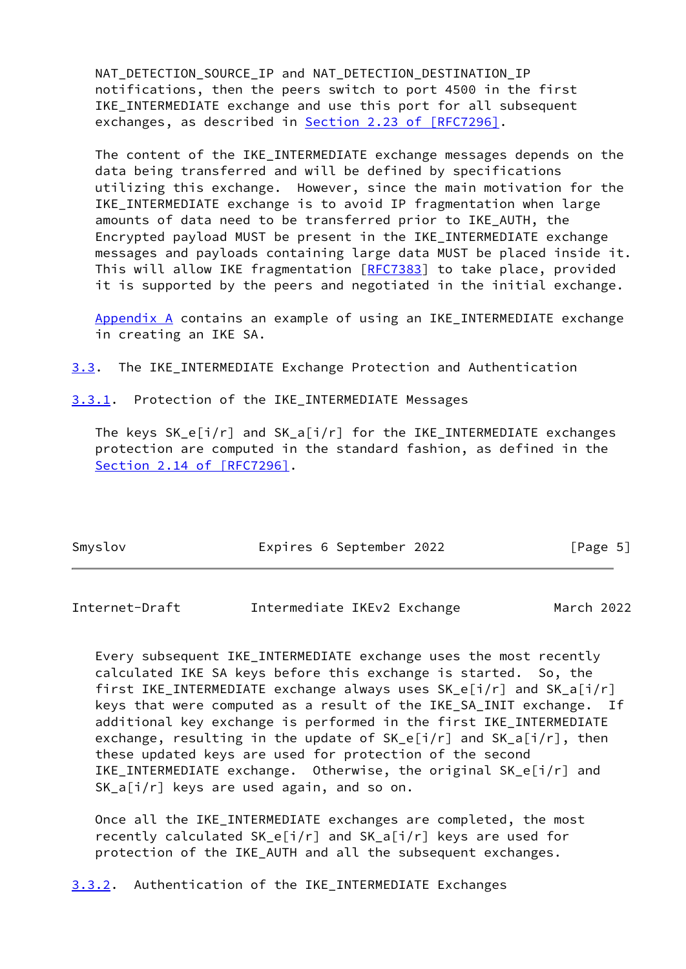NAT DETECTION SOURCE IP and NAT DETECTION DESTINATION IP notifications, then the peers switch to port 4500 in the first IKE INTERMEDIATE exchange and use this port for all subsequent exchanges, as described in **Section 2.23 of [RFC7296]**.

The content of the IKE INTERMEDIATE exchange messages depends on the data being transferred and will be defined by specifications utilizing this exchange. However, since the main motivation for the IKE\_INTERMEDIATE exchange is to avoid IP fragmentation when large amounts of data need to be transferred prior to IKE\_AUTH, the Encrypted payload MUST be present in the IKE\_INTERMEDIATE exchange messages and payloads containing large data MUST be placed inside it. This will allow IKE fragmentation [[RFC7383](https://datatracker.ietf.org/doc/pdf/rfc7383)] to take place, provided it is supported by the peers and negotiated in the initial exchange.

 [Appendix A](#page-15-0) contains an example of using an IKE\_INTERMEDIATE exchange in creating an IKE SA.

<span id="page-5-3"></span>[3.3](#page-5-3). The IKE\_INTERMEDIATE Exchange Protection and Authentication

<span id="page-5-0"></span>[3.3.1](#page-5-0). Protection of the IKE\_INTERMEDIATE Messages

The keys  $SK_e[i/r]$  and  $SK_a[i/r]$  for the IKE\_INTERMEDIATE exchanges protection are computed in the standard fashion, as defined in the Section [2.14 of \[RFC7296\]](https://datatracker.ietf.org/doc/pdf/rfc7296#section-2.14).

| Smyslov | Expires 6 September 2022 | [Page 5] |
|---------|--------------------------|----------|
|         |                          |          |

<span id="page-5-2"></span>Internet-Draft Intermediate IKEv2 Exchange March 2022

 Every subsequent IKE\_INTERMEDIATE exchange uses the most recently calculated IKE SA keys before this exchange is started. So, the first IKE\_INTERMEDIATE exchange always uses SK\_e[i/r] and SK\_a[i/r] keys that were computed as a result of the IKE\_SA\_INIT exchange. If additional key exchange is performed in the first IKE\_INTERMEDIATE exchange, resulting in the update of  $SK_e[i/r]$  and  $SK_a[i/r]$ , then these updated keys are used for protection of the second IKE\_INTERMEDIATE exchange. Otherwise, the original SK\_e[i/r] and SK\_a[i/r] keys are used again, and so on.

 Once all the IKE\_INTERMEDIATE exchanges are completed, the most recently calculated SK\_e[i/r] and SK\_a[i/r] keys are used for protection of the IKE\_AUTH and all the subsequent exchanges.

<span id="page-5-1"></span>[3.3.2](#page-5-1). Authentication of the IKE\_INTERMEDIATE Exchanges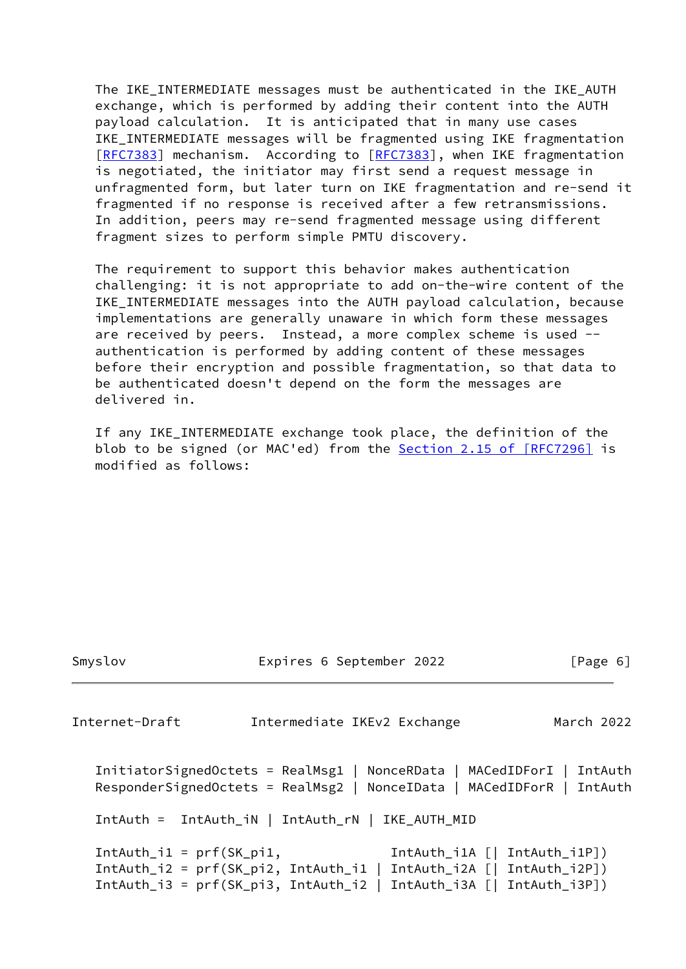The IKE\_INTERMEDIATE messages must be authenticated in the IKE\_AUTH exchange, which is performed by adding their content into the AUTH payload calculation. It is anticipated that in many use cases IKE\_INTERMEDIATE messages will be fragmented using IKE fragmentation [\[RFC7383](https://datatracker.ietf.org/doc/pdf/rfc7383)] mechanism. According to [[RFC7383\]](https://datatracker.ietf.org/doc/pdf/rfc7383), when IKE fragmentation is negotiated, the initiator may first send a request message in unfragmented form, but later turn on IKE fragmentation and re-send it fragmented if no response is received after a few retransmissions. In addition, peers may re-send fragmented message using different fragment sizes to perform simple PMTU discovery.

 The requirement to support this behavior makes authentication challenging: it is not appropriate to add on-the-wire content of the IKE\_INTERMEDIATE messages into the AUTH payload calculation, because implementations are generally unaware in which form these messages are received by peers. Instead, a more complex scheme is used - authentication is performed by adding content of these messages before their encryption and possible fragmentation, so that data to be authenticated doesn't depend on the form the messages are delivered in.

 If any IKE\_INTERMEDIATE exchange took place, the definition of the blob to be signed (or MAC'ed) from the **Section 2.15 of [RFC7296]** is modified as follows:

```
Internet-Draft Intermediate IKEv2 Exchange March 2022
   InitiatorSignedOctets = RealMsg1 | NonceRData | MACedIDForI | IntAuth
   ResponderSignedOctets = RealMsg2 | NonceIData | MACedIDForR | IntAuth
   IntAuth = IntAuth_iN | IntAuth_rN | IKE_AUTH_MID
   IntAuth_i1 = prf(SK_pi1, IntAuth_i1A [| IntAuth_i1P])
   IntAuth_i2 = prf(SK_pi2, IntAuth_i1 | IntAuth_i2A [| IntAuth_i2P])
   IntAuth_i3 = prf(SK_pi3, IntAuth_i2 | IntAuth_i3A [| IntAuth_i3P])
```
Smyslov Expires 6 September 2022 [Page 6]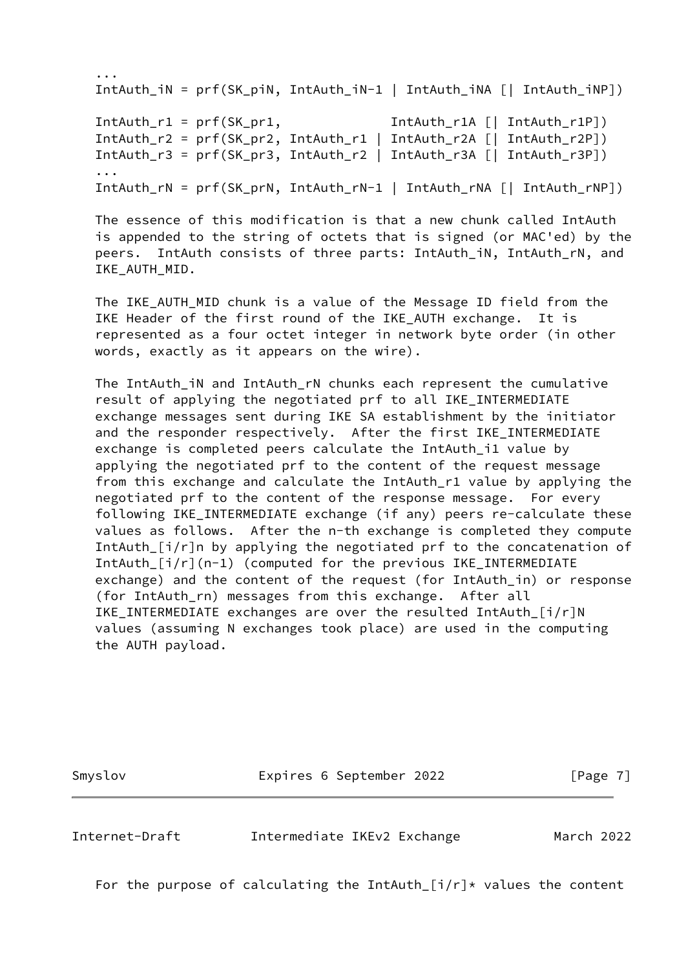```
 ...
   IntAuth_iN = prf(SK_piN, IntAuth_iN-1 | IntAuth_iNA [| IntAuth_iNP])
   IntAuth_r1 = prf(SK_pr1, IntAuth_r1A [| IntAuth_r1P])
   IntAuth_r2 = prf(SK_pr2, IntAuth_r1 | IntAuth_r2A [| IntAuth_r2P])
   IntAuth_r3 = prf(SK_pr3, IntAuth_r2 | IntAuth_r3A [| IntAuth_r3P])
   ...
   IntAuth_rN = prf(SK_prN, IntAuth_rN-1 | IntAuth_rNA [| IntAuth_rNP])
```
 The essence of this modification is that a new chunk called IntAuth is appended to the string of octets that is signed (or MAC'ed) by the peers. IntAuth consists of three parts: IntAuth\_iN, IntAuth\_rN, and IKE\_AUTH\_MID.

 The IKE\_AUTH\_MID chunk is a value of the Message ID field from the IKE Header of the first round of the IKE AUTH exchange. It is represented as a four octet integer in network byte order (in other words, exactly as it appears on the wire).

The IntAuth iN and IntAuth rN chunks each represent the cumulative result of applying the negotiated prf to all IKE\_INTERMEDIATE exchange messages sent during IKE SA establishment by the initiator and the responder respectively. After the first IKE INTERMEDIATE exchange is completed peers calculate the IntAuth\_i1 value by applying the negotiated prf to the content of the request message from this exchange and calculate the IntAuth\_r1 value by applying the negotiated prf to the content of the response message. For every following IKE\_INTERMEDIATE exchange (if any) peers re-calculate these values as follows. After the n-th exchange is completed they compute IntAuth\_[i/r]n by applying the negotiated prf to the concatenation of IntAuth\_[i/r](n-1) (computed for the previous IKE\_INTERMEDIATE exchange) and the content of the request (for IntAuth\_in) or response (for IntAuth\_rn) messages from this exchange. After all IKE\_INTERMEDIATE exchanges are over the resulted IntAuth\_[i/r]N values (assuming N exchanges took place) are used in the computing the AUTH payload.

Smyslov **Expires 6 September 2022** [Page 7]

Internet-Draft Intermediate IKEv2 Exchange March 2022

For the purpose of calculating the IntAuth\_ $[i/r]*$  values the content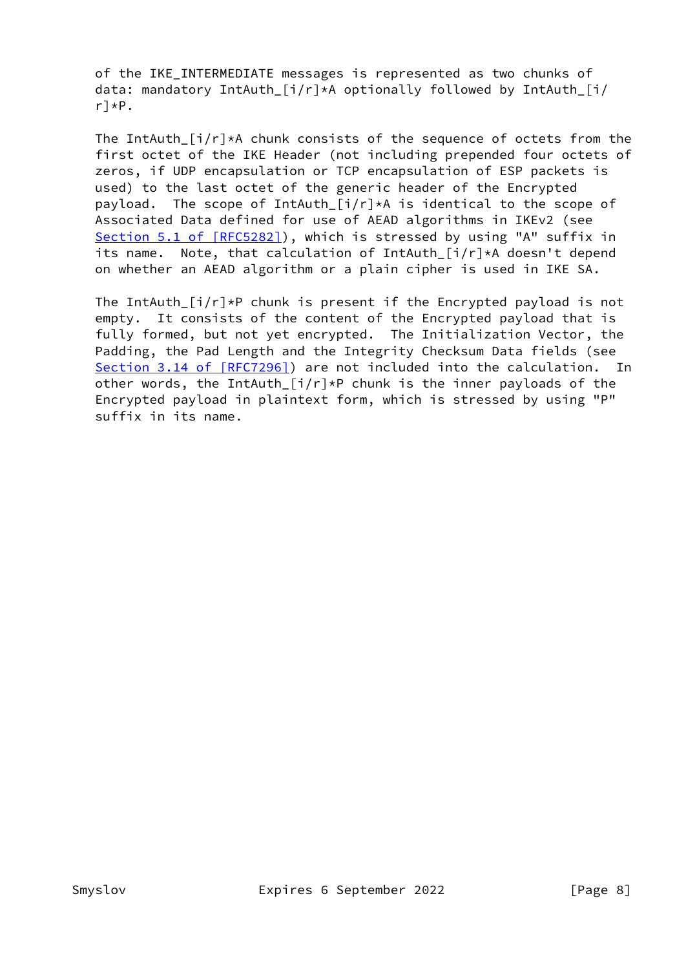of the IKE\_INTERMEDIATE messages is represented as two chunks of data: mandatory IntAuth\_[i/r]\*A optionally followed by IntAuth\_[i/ r]\*P.

The IntAuth\_ $[i/r]*A$  chunk consists of the sequence of octets from the first octet of the IKE Header (not including prepended four octets of zeros, if UDP encapsulation or TCP encapsulation of ESP packets is used) to the last octet of the generic header of the Encrypted payload. The scope of IntAuth\_ $[i/r]*A$  is identical to the scope of Associated Data defined for use of AEAD algorithms in IKEv2 (see Section [5.1 of \[RFC5282\]](https://datatracker.ietf.org/doc/pdf/rfc5282#section-5.1)), which is stressed by using "A" suffix in its name. Note, that calculation of IntAuth\_[i/r]\*A doesn't depend on whether an AEAD algorithm or a plain cipher is used in IKE SA.

The IntAuth  $[i/r]*P$  chunk is present if the Encrypted payload is not empty. It consists of the content of the Encrypted payload that is fully formed, but not yet encrypted. The Initialization Vector, the Padding, the Pad Length and the Integrity Checksum Data fields (see Section [3.14 of \[RFC7296\]](https://datatracker.ietf.org/doc/pdf/rfc7296#section-3.14)) are not included into the calculation. In other words, the IntAuth  $[i/r]*P$  chunk is the inner payloads of the Encrypted payload in plaintext form, which is stressed by using "P" suffix in its name.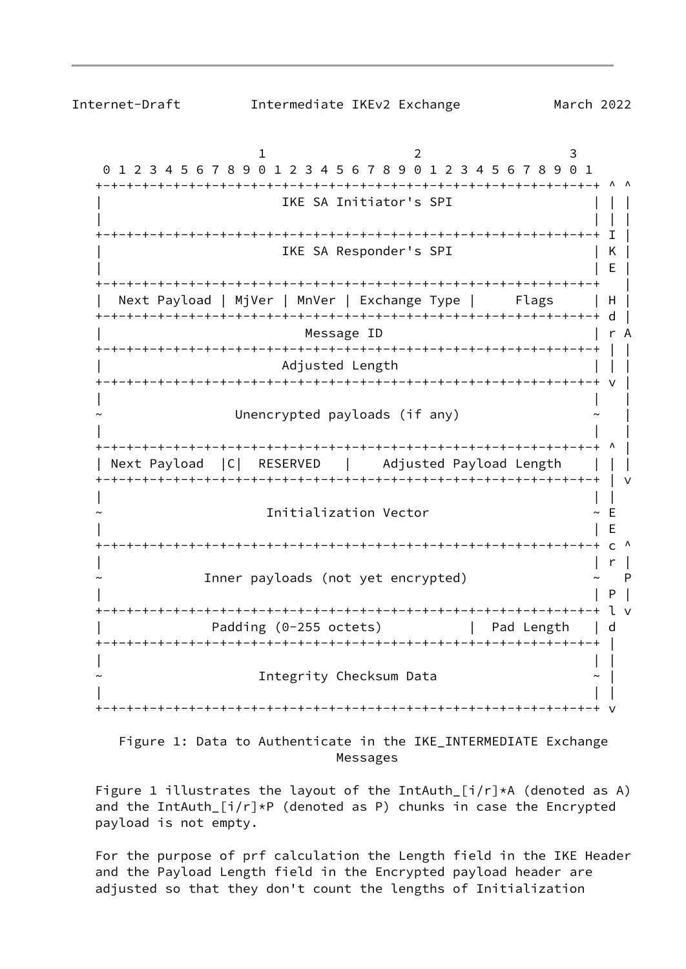$1$  2 3 0 1 2 3 4 5 6 7 8 9 0 1 2 3 4 5 6 7 8 9 0 1 2 3 4 5 6 7 8 9 0 1 +-+-+-+-+-+-+-+-+-+-+-+-+-+-+-+-+-+-+-+-+-+-+-+-+-+-+-+-+-+-+-+-+ ^ ^ IKE SA Initiator's SPI | | | | +-+-+-+-+-+-+-+-+-+-+-+-+-+-+-+-+-+-+-+-+-+-+-+-+-+-+-+-+-+-+-+-+ I | IKE SA Responder's SPI | K | | E | +-+-+-+-+-+-+-+-+-+-+-+-+-+-+-+-+-+-+-+-+-+-+-+-+-+-+-+-+-+-+-+-+ | | Next Payload | MjVer | MnVer | Exchange Type | Flags | H | +-+-+-+-+-+-+-+-+-+-+-+-+-+-+-+-+-+-+-+-+-+-+-+-+-+-+-+-+-+-+-+-+ d | | Message ID | r A +-+-+-+-+-+-+-+-+-+-+-+-+-+-+-+-+-+-+-+-+-+-+-+-+-+-+-+-+-+-+-+-+ | | Adjusted Length  $| \ |$  +-+-+-+-+-+-+-+-+-+-+-+-+-+-+-+-+-+-+-+-+-+-+-+-+-+-+-+-+-+-+-+-+ v | | | | Unencrypted payloads (if any) | | | +-+-+-+-+-+-+-+-+-+-+-+-+-+-+-+-+-+-+-+-+-+-+-+-+-+-+-+-+-+-+-+-+ ^ | | Next Payload |C| RESERVED | Adjusted Payload Length | | | +-+-+-+-+-+-+-+-+-+-+-+-+-+-+-+-+-+-+-+-+-+-+-+-+-+-+-+-+-+-+-+-+ | v | | | ~ Initialization Vector ~ E | | E +-+-+-+-+-+-+-+-+-+-+-+-+-+-+-+-+-+-+-+-+-+-+-+-+-+-+-+-+-+-+-+-+ c ^ | | r | Inner payloads (not yet encrypted)  $\sim$  P | | P | +-+-+-+-+-+-+-+-+-+-+-+-+-+-+-+-+-+-+-+-+-+-+-+-+-+-+-+-+-+-+-+-+ l v Padding (0-255 octets) | Pad Length | d +-+-+-+-+-+-+-+-+-+-+-+-+-+-+-+-+-+-+-+-+-+-+-+-+-+-+-+-+-+-+-+-+ | | | | ~ Integrity Checksum Data ~ | | | | +-+-+-+-+-+-+-+-+-+-+-+-+-+-+-+-+-+-+-+-+-+-+-+-+-+-+-+-+-+-+-+-+ v

Internet-Draft Intermediate IKEv2 Exchange March 2022

 Figure 1: Data to Authenticate in the IKE\_INTERMEDIATE Exchange Messages

Figure 1 illustrates the layout of the IntAuth  $[i/r]*A$  (denoted as A) and the IntAuth  $[i/r]*P$  (denoted as P) chunks in case the Encrypted payload is not empty.

 For the purpose of prf calculation the Length field in the IKE Header and the Payload Length field in the Encrypted payload header are adjusted so that they don't count the lengths of Initialization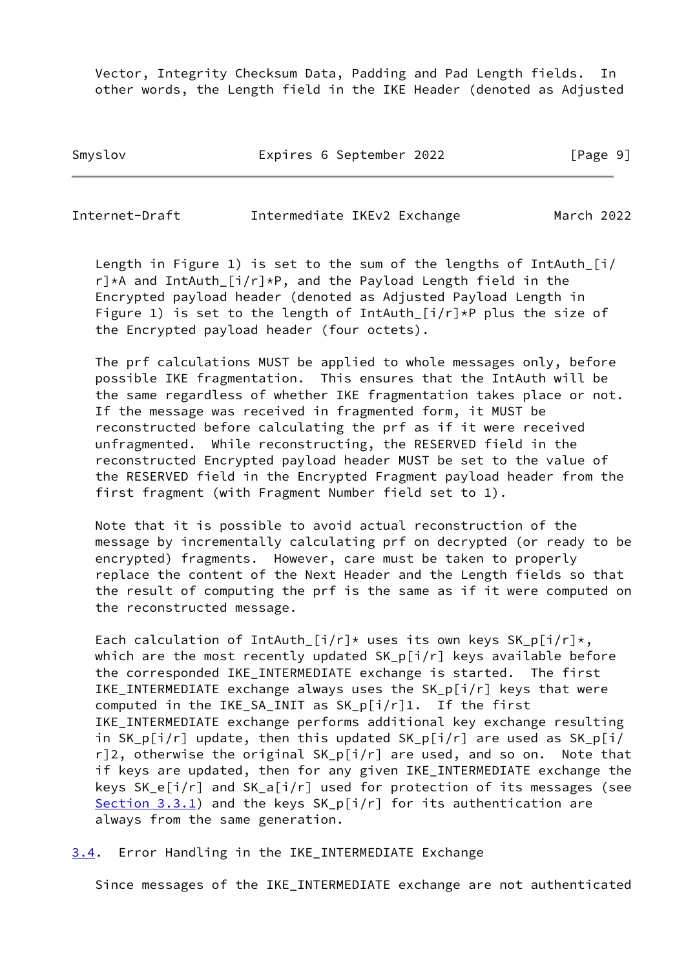Vector, Integrity Checksum Data, Padding and Pad Length fields. In other words, the Length field in the IKE Header (denoted as Adjusted

Smyslov **Expires 6 September 2022** [Page 9]

<span id="page-10-1"></span>Internet-Draft Intermediate IKEv2 Exchange March 2022

 Length in Figure 1) is set to the sum of the lengths of IntAuth\_[i/ r]\*A and IntAuth\_[i/r]\*P, and the Payload Length field in the Encrypted payload header (denoted as Adjusted Payload Length in Figure 1) is set to the length of IntAuth\_[i/r]\*P plus the size of the Encrypted payload header (four octets).

 The prf calculations MUST be applied to whole messages only, before possible IKE fragmentation. This ensures that the IntAuth will be the same regardless of whether IKE fragmentation takes place or not. If the message was received in fragmented form, it MUST be reconstructed before calculating the prf as if it were received unfragmented. While reconstructing, the RESERVED field in the reconstructed Encrypted payload header MUST be set to the value of the RESERVED field in the Encrypted Fragment payload header from the first fragment (with Fragment Number field set to 1).

 Note that it is possible to avoid actual reconstruction of the message by incrementally calculating prf on decrypted (or ready to be encrypted) fragments. However, care must be taken to properly replace the content of the Next Header and the Length fields so that the result of computing the prf is the same as if it were computed on the reconstructed message.

Each calculation of IntAuth  $[i/r]*$  uses its own keys SK\_p $[i/r]*$ , which are the most recently updated  $SK_p[i/r]$  keys available before the corresponded IKE\_INTERMEDIATE exchange is started. The first IKE\_INTERMEDIATE exchange always uses the SK\_p[i/r] keys that were computed in the IKE\_SA\_INIT as SK\_p[i/r]1. If the first IKE\_INTERMEDIATE exchange performs additional key exchange resulting in  $SK_p[i/r]$  update, then this updated  $SK_p[i/r]$  are used as  $SK_p[i/r]$ r]2, otherwise the original SK\_p[i/r] are used, and so on. Note that if keys are updated, then for any given IKE\_INTERMEDIATE exchange the keys SK\_e[i/r] and SK\_a[i/r] used for protection of its messages (see [Section 3.3.1](#page-5-0)) and the keys  $SK_p[i/r]$  for its authentication are always from the same generation.

<span id="page-10-0"></span>[3.4](#page-10-0). Error Handling in the IKE\_INTERMEDIATE Exchange

Since messages of the IKE\_INTERMEDIATE exchange are not authenticated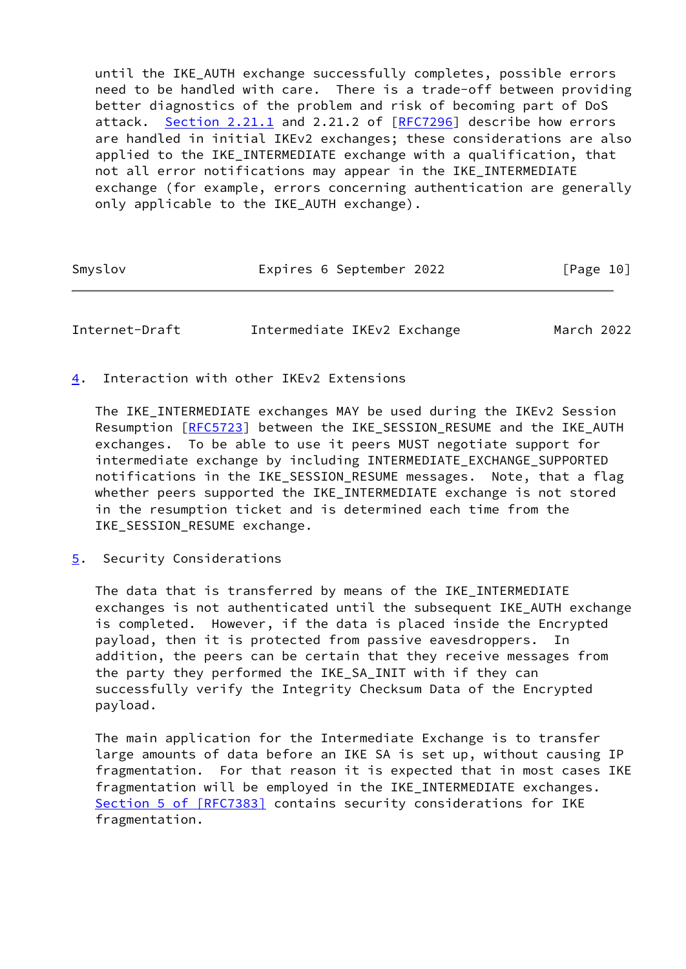until the IKE AUTH exchange successfully completes, possible errors need to be handled with care. There is a trade-off between providing better diagnostics of the problem and risk of becoming part of DoS attack. Section 2.21.1 and 2.21.2 of [[RFC7296](https://datatracker.ietf.org/doc/pdf/rfc7296)] describe how errors are handled in initial IKEv2 exchanges; these considerations are also applied to the IKE\_INTERMEDIATE exchange with a qualification, that not all error notifications may appear in the IKE\_INTERMEDIATE exchange (for example, errors concerning authentication are generally only applicable to the IKE\_AUTH exchange).

| Smyslov | Expires 6 September 2022 | [Page 10] |
|---------|--------------------------|-----------|
|---------|--------------------------|-----------|

<span id="page-11-1"></span>Internet-Draft Intermediate IKEv2 Exchange March 2022

<span id="page-11-0"></span>[4](#page-11-0). Interaction with other IKEv2 Extensions

 The IKE\_INTERMEDIATE exchanges MAY be used during the IKEv2 Session Resumption [[RFC5723\]](https://datatracker.ietf.org/doc/pdf/rfc5723) between the IKE\_SESSION\_RESUME and the IKE\_AUTH exchanges. To be able to use it peers MUST negotiate support for intermediate exchange by including INTERMEDIATE\_EXCHANGE\_SUPPORTED notifications in the IKE\_SESSION\_RESUME messages. Note, that a flag whether peers supported the IKE INTERMEDIATE exchange is not stored in the resumption ticket and is determined each time from the IKE SESSION RESUME exchange.

<span id="page-11-2"></span>[5](#page-11-2). Security Considerations

The data that is transferred by means of the IKE INTERMEDIATE exchanges is not authenticated until the subsequent IKE\_AUTH exchange is completed. However, if the data is placed inside the Encrypted payload, then it is protected from passive eavesdroppers. In addition, the peers can be certain that they receive messages from the party they performed the IKE\_SA\_INIT with if they can successfully verify the Integrity Checksum Data of the Encrypted payload.

 The main application for the Intermediate Exchange is to transfer large amounts of data before an IKE SA is set up, without causing IP fragmentation. For that reason it is expected that in most cases IKE fragmentation will be employed in the IKE\_INTERMEDIATE exchanges. Section [5 of \[RFC7383\]](https://datatracker.ietf.org/doc/pdf/rfc7383#section-5) contains security considerations for IKE fragmentation.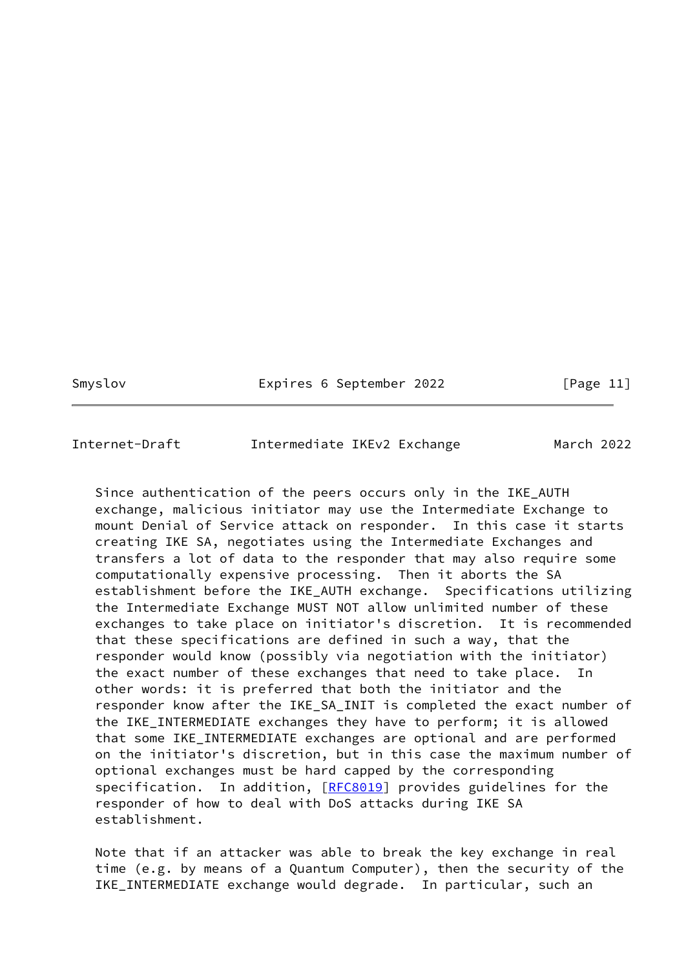Smyslov **Expires 6 September 2022** [Page 11]

<span id="page-12-0"></span>Internet-Draft Intermediate IKEv2 Exchange March 2022

 Since authentication of the peers occurs only in the IKE\_AUTH exchange, malicious initiator may use the Intermediate Exchange to mount Denial of Service attack on responder. In this case it starts creating IKE SA, negotiates using the Intermediate Exchanges and transfers a lot of data to the responder that may also require some computationally expensive processing. Then it aborts the SA establishment before the IKE\_AUTH exchange. Specifications utilizing the Intermediate Exchange MUST NOT allow unlimited number of these exchanges to take place on initiator's discretion. It is recommended that these specifications are defined in such a way, that the responder would know (possibly via negotiation with the initiator) the exact number of these exchanges that need to take place. In other words: it is preferred that both the initiator and the responder know after the IKE\_SA\_INIT is completed the exact number of the IKE\_INTERMEDIATE exchanges they have to perform; it is allowed that some IKE\_INTERMEDIATE exchanges are optional and are performed on the initiator's discretion, but in this case the maximum number of optional exchanges must be hard capped by the corresponding specification. In addition, [\[RFC8019](https://datatracker.ietf.org/doc/pdf/rfc8019)] provides guidelines for the responder of how to deal with DoS attacks during IKE SA establishment.

 Note that if an attacker was able to break the key exchange in real time (e.g. by means of a Quantum Computer), then the security of the IKE\_INTERMEDIATE exchange would degrade. In particular, such an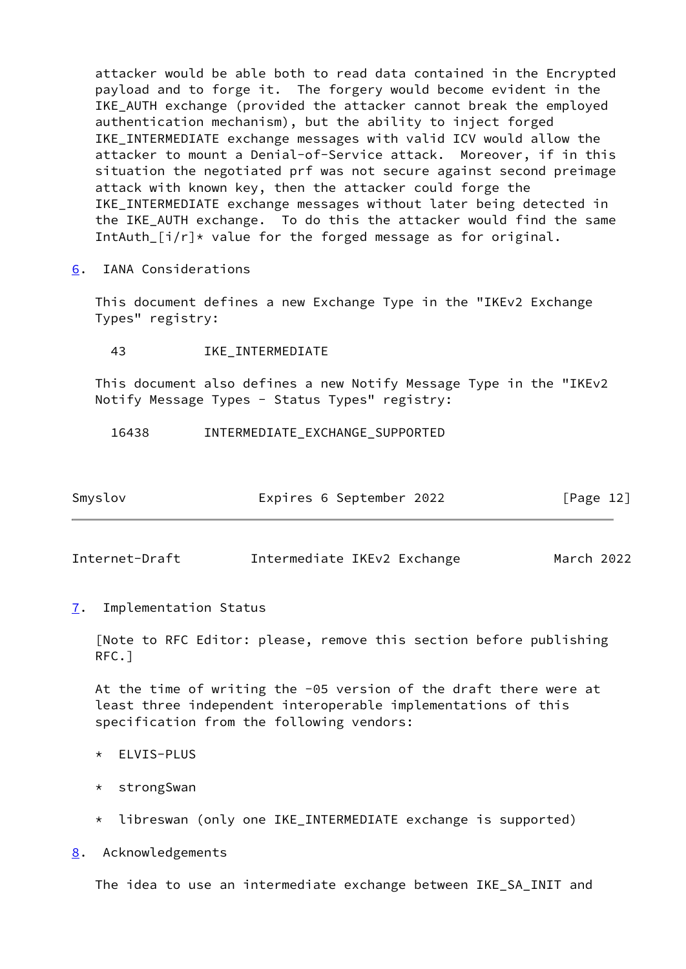attacker would be able both to read data contained in the Encrypted payload and to forge it. The forgery would become evident in the IKE\_AUTH exchange (provided the attacker cannot break the employed authentication mechanism), but the ability to inject forged IKE\_INTERMEDIATE exchange messages with valid ICV would allow the attacker to mount a Denial-of-Service attack. Moreover, if in this situation the negotiated prf was not secure against second preimage attack with known key, then the attacker could forge the IKE\_INTERMEDIATE exchange messages without later being detected in the IKE\_AUTH exchange. To do this the attacker would find the same IntAuth  $[i/r]*$  value for the forged message as for original.

<span id="page-13-0"></span>[6](#page-13-0). IANA Considerations

 This document defines a new Exchange Type in the "IKEv2 Exchange Types" registry:

43 IKE\_INTERMEDIATE

 This document also defines a new Notify Message Type in the "IKEv2 Notify Message Types - Status Types" registry:

16438 INTERMEDIATE\_EXCHANGE\_SUPPORTED

| Smyslov | Expires 6 September 2022 | [Page 12] |
|---------|--------------------------|-----------|
|         |                          |           |

<span id="page-13-2"></span>Internet-Draft Intermediate IKEv2 Exchange March 2022

<span id="page-13-1"></span>[7](#page-13-1). Implementation Status

 [Note to RFC Editor: please, remove this section before publishing RFC.]

 At the time of writing the -05 version of the draft there were at least three independent interoperable implementations of this specification from the following vendors:

- \* ELVIS-PLUS
- \* strongSwan
- \* libreswan (only one IKE\_INTERMEDIATE exchange is supported)

<span id="page-13-3"></span>[8](#page-13-3). Acknowledgements

The idea to use an intermediate exchange between IKE\_SA\_INIT and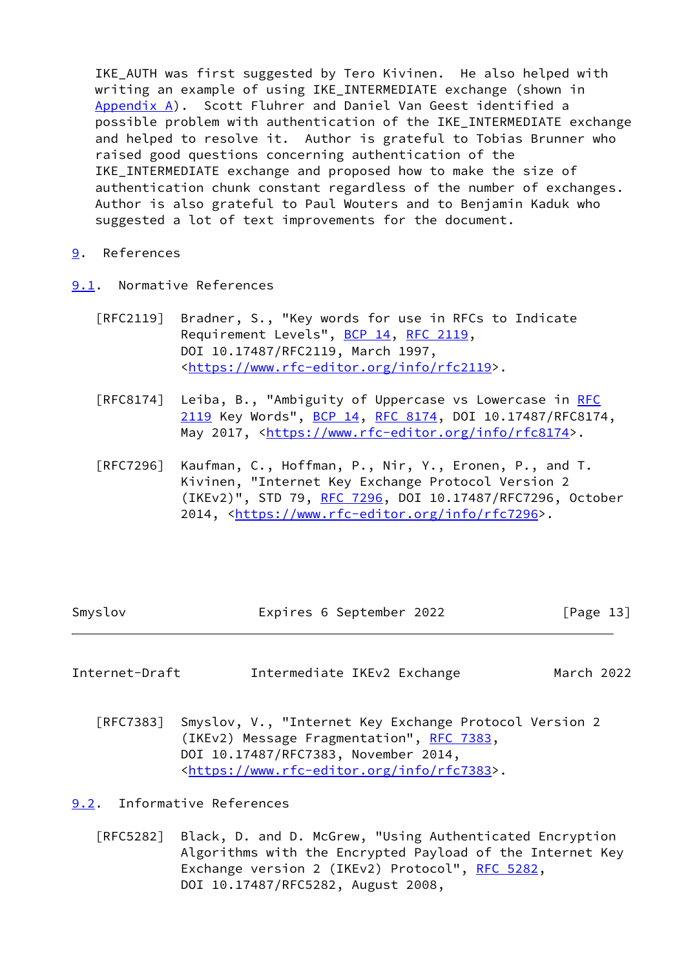IKE AUTH was first suggested by Tero Kivinen. He also helped with writing an example of using IKE\_INTERMEDIATE exchange (shown in [Appendix A](#page-15-0)). Scott Fluhrer and Daniel Van Geest identified a possible problem with authentication of the IKE\_INTERMEDIATE exchange and helped to resolve it. Author is grateful to Tobias Brunner who raised good questions concerning authentication of the IKE INTERMEDIATE exchange and proposed how to make the size of authentication chunk constant regardless of the number of exchanges. Author is also grateful to Paul Wouters and to Benjamin Kaduk who suggested a lot of text improvements for the document.

- <span id="page-14-0"></span>[9](#page-14-0). References
- <span id="page-14-1"></span>[9.1](#page-14-1). Normative References
	- [RFC2119] Bradner, S., "Key words for use in RFCs to Indicate Requirement Levels", [BCP 14](https://datatracker.ietf.org/doc/pdf/bcp14), [RFC 2119](https://datatracker.ietf.org/doc/pdf/rfc2119), DOI 10.17487/RFC2119, March 1997, <[https://www.rfc-editor.org/info/rfc2119>](https://www.rfc-editor.org/info/rfc2119).
	- [RFC8174] Leiba, B., "Ambiguity of Uppercase vs Lowercase in [RFC](https://datatracker.ietf.org/doc/pdf/rfc2119) [2119](https://datatracker.ietf.org/doc/pdf/rfc2119) Key Words", [BCP 14](https://datatracker.ietf.org/doc/pdf/bcp14), [RFC 8174,](https://datatracker.ietf.org/doc/pdf/rfc8174) DOI 10.17487/RFC8174, May 2017, [<https://www.rfc-editor.org/info/rfc8174](https://www.rfc-editor.org/info/rfc8174)>.
	- [RFC7296] Kaufman, C., Hoffman, P., Nir, Y., Eronen, P., and T. Kivinen, "Internet Key Exchange Protocol Version 2 (IKEv2)", STD 79, [RFC 7296](https://datatracker.ietf.org/doc/pdf/rfc7296), DOI 10.17487/RFC7296, October 2014, [<https://www.rfc-editor.org/info/rfc7296](https://www.rfc-editor.org/info/rfc7296)>.

<span id="page-14-3"></span>Internet-Draft Intermediate IKEv2 Exchange March 2022

 [RFC7383] Smyslov, V., "Internet Key Exchange Protocol Version 2 (IKEv2) Message Fragmentation", [RFC 7383,](https://datatracker.ietf.org/doc/pdf/rfc7383) DOI 10.17487/RFC7383, November 2014, <[https://www.rfc-editor.org/info/rfc7383>](https://www.rfc-editor.org/info/rfc7383).

<span id="page-14-2"></span>[9.2](#page-14-2). Informative References

 [RFC5282] Black, D. and D. McGrew, "Using Authenticated Encryption Algorithms with the Encrypted Payload of the Internet Key Exchange version 2 (IKEv2) Protocol", [RFC 5282](https://datatracker.ietf.org/doc/pdf/rfc5282), DOI 10.17487/RFC5282, August 2008,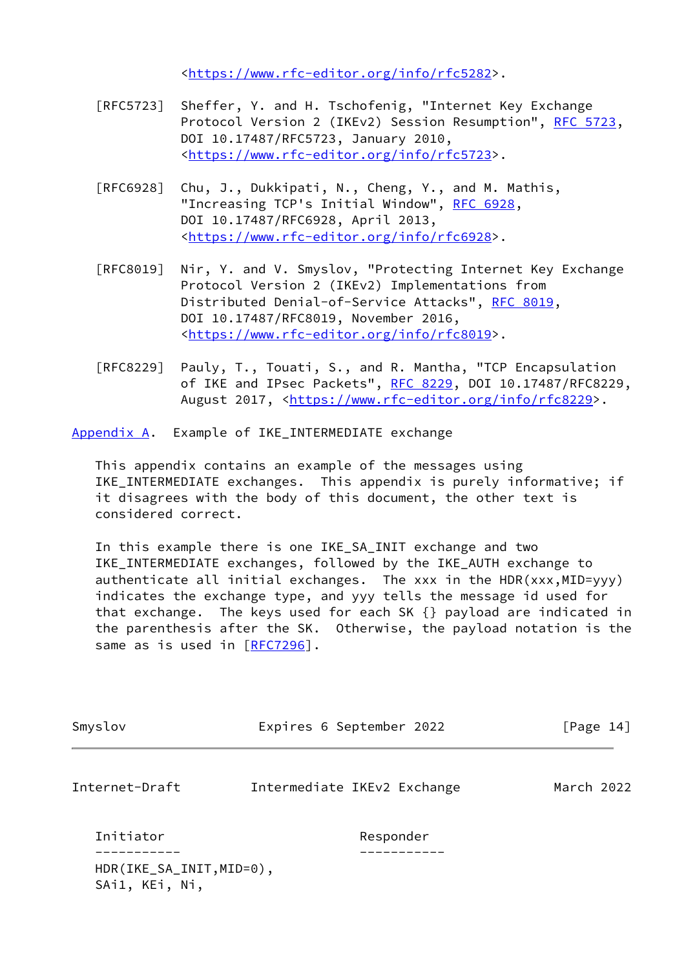<[https://www.rfc-editor.org/info/rfc5282>](https://www.rfc-editor.org/info/rfc5282).

- [RFC5723] Sheffer, Y. and H. Tschofenig, "Internet Key Exchange Protocol Version 2 (IKEv2) Session Resumption", [RFC 5723,](https://datatracker.ietf.org/doc/pdf/rfc5723) DOI 10.17487/RFC5723, January 2010, <[https://www.rfc-editor.org/info/rfc5723>](https://www.rfc-editor.org/info/rfc5723).
- [RFC6928] Chu, J., Dukkipati, N., Cheng, Y., and M. Mathis, "Increasing TCP's Initial Window", [RFC 6928](https://datatracker.ietf.org/doc/pdf/rfc6928), DOI 10.17487/RFC6928, April 2013, <[https://www.rfc-editor.org/info/rfc6928>](https://www.rfc-editor.org/info/rfc6928).
- [RFC8019] Nir, Y. and V. Smyslov, "Protecting Internet Key Exchange Protocol Version 2 (IKEv2) Implementations from Distributed Denial-of-Service Attacks", [RFC 8019,](https://datatracker.ietf.org/doc/pdf/rfc8019) DOI 10.17487/RFC8019, November 2016, <[https://www.rfc-editor.org/info/rfc8019>](https://www.rfc-editor.org/info/rfc8019).
- [RFC8229] Pauly, T., Touati, S., and R. Mantha, "TCP Encapsulation of IKE and IPsec Packets", [RFC 8229](https://datatracker.ietf.org/doc/pdf/rfc8229), DOI 10.17487/RFC8229, August 2017, [<https://www.rfc-editor.org/info/rfc8229](https://www.rfc-editor.org/info/rfc8229)>.

<span id="page-15-0"></span>[Appendix A.](#page-15-0) Example of IKE\_INTERMEDIATE exchange

SAi1, KEi, Ni,

 This appendix contains an example of the messages using IKE\_INTERMEDIATE exchanges. This appendix is purely informative; if it disagrees with the body of this document, the other text is considered correct.

 In this example there is one IKE\_SA\_INIT exchange and two IKE\_INTERMEDIATE exchanges, followed by the IKE\_AUTH exchange to authenticate all initial exchanges. The  $xxx$  in the HDR( $xxx$ , MID= $yyy$ ) indicates the exchange type, and yyy tells the message id used for that exchange. The keys used for each SK {} payload are indicated in the parenthesis after the SK. Otherwise, the payload notation is the same as is used in [[RFC7296\]](https://datatracker.ietf.org/doc/pdf/rfc7296).

| Smyslov                  | Expires 6 September 2022    | [Page 14]  |  |
|--------------------------|-----------------------------|------------|--|
| Internet-Draft           | Intermediate IKEv2 Exchange | March 2022 |  |
| Initiator                | Responder                   |            |  |
| HDR(IKE_SA_INIT, MID=0), |                             |            |  |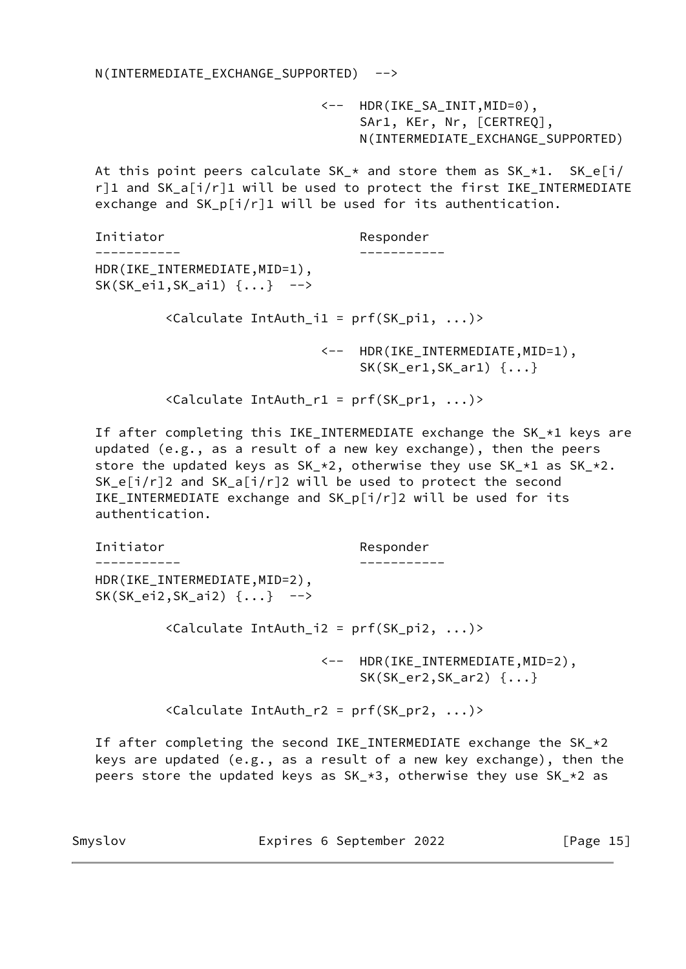N(INTERMEDIATE\_EXCHANGE\_SUPPORTED) -->

 <-- HDR(IKE\_SA\_INIT,MID=0), SAr1, KEr, Nr, [CERTREQ], N(INTERMEDIATE\_EXCHANGE\_SUPPORTED)

At this point peers calculate  $SK_{-*}$  and store them as  $SK_{-*}1$ .  $SK_{-}e[i]$  $r$ ]1 and SK\_a[i/r]1 will be used to protect the first IKE\_INTERMEDIATE exchange and SK\_p[i/r]1 will be used for its authentication.

| Initiator                                                         | Responder                                                           |
|-------------------------------------------------------------------|---------------------------------------------------------------------|
|                                                                   |                                                                     |
| HDR(IKE_INTERMEDIATE, MID=1),<br>$SK(SK_eii, SK_aii)$ $\{ \}$ --> |                                                                     |
| $\langle$ Calculate IntAuth_i1 = prf(SK_pi1, )>                   |                                                                     |
|                                                                   | <-- HDR(IKE_INTERMEDIATE, MID=1),<br>$SK(SK_error, SK-ar1)$ $\{ \}$ |

<Calculate IntAuth\_r1 = prf(SK\_pr1, ...)>

 If after completing this IKE\_INTERMEDIATE exchange the SK\_\*1 keys are updated (e.g., as a result of a new key exchange), then the peers store the updated keys as SK\_\*2, otherwise they use SK\_\*1 as SK\_\*2. SK\_e[i/r]2 and SK\_a[i/r]2 will be used to protect the second IKE\_INTERMEDIATE exchange and SK\_p[i/r]2 will be used for its authentication.

 Initiator Responder ----------- ----------- HDR(IKE\_INTERMEDIATE,MID=2), SK(SK\_ei2,SK\_ai2) {...} --> <Calculate IntAuth\_i2 = prf(SK\_pi2, ...)> <-- HDR(IKE\_INTERMEDIATE,MID=2), SK(SK\_er2,SK\_ar2) {...} <Calculate IntAuth\_r2 = prf(SK\_pr2, ...)>

If after completing the second IKE\_INTERMEDIATE exchange the  $SK_{\pm} \times 2$  keys are updated (e.g., as a result of a new key exchange), then the peers store the updated keys as SK\_\*3, otherwise they use SK\_\*2 as